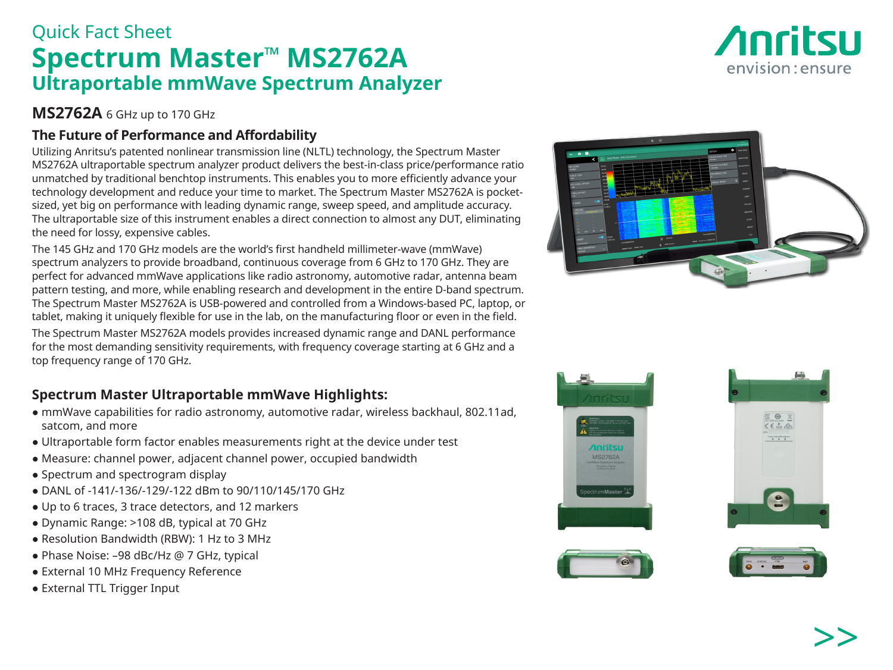# >>

# Quick Fact Sheet **Spectrum Master ™ MS2762A Ultraportable mmWave Spectrum Analyzer**

## **MS2762A** 6 GHz up to 170 GHz

### **The Future of Performance and Affordability**

Utilizing Anritsu's patented nonlinear transmission line (NLTL) technology, the Spectrum Master MS2762A ultraportable spectrum analyzer product delivers the best-in-class price/performance ratio unmatched by traditional benchtop instruments. This enables you to more efficiently advance your technology development and reduce your time to market. The Spectrum Master MS2762A is pocketsized, yet big on performance with leading dynamic range, sweep speed, and amplitude accuracy. The ultraportable size of this instrument enables a direct connection to almost any DUT, eliminating the need for lossy, expensive cables.

The 145 GHz and 170 GHz models are the world's first handheld millimeter-wave (mmWave) spectrum analyzers to provide broadband, continuous coverage from 6 GHz to 170 GHz. They are perfect for advanced mmWave applications like radio astronomy, automotive radar, antenna beam pattern testing, and more, while enabling research and development in the entire D-band spectrum. The Spectrum Master MS2762A is USB-powered and controlled from a Windows-based PC, laptop, or tablet, making it uniquely flexible for use in the lab, on the manufacturing floor or even in the field.

The Spectrum Master MS2762A models provides increased dynamic range and DANL performance for the most demanding sensitivity requirements, with frequency coverage starting at 6 GHz and a top frequency range of 170 GHz.

### **Spectrum Master Ultraportable mmWave Highlights:**

- mmWave capabilities for radio astronomy, automotive radar, wireless backhaul, 802.11ad, satcom, and more
- Ultraportable form factor enables measurements right at the device under test
- Measure: channel power, adjacent channel power, occupied bandwidth
- Spectrum and spectrogram display
- DANL of -141/-136/-129/-122 dBm to 90/110/145/170 GHz
- Up to 6 traces, 3 trace detectors, and 12 markers
- Dynamic Range: >108 dB, typical at 70 GHz
- Resolution Bandwidth (RBW): 1 Hz to 3 MHz
- Phase Noise: -98 dBc/Hz @ 7 GHz, typical
- External 10 MHz Frequency Reference
- External TTL Trigger Input